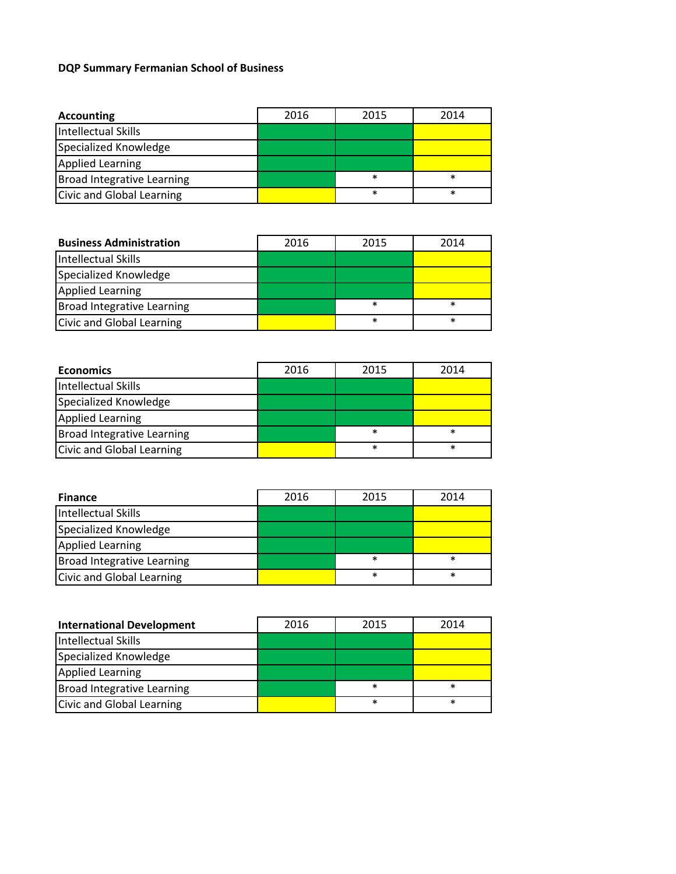## **DQP Summary Fermanian School of Business**

| Accounting                 | 2016 | 2015   | 2014   |
|----------------------------|------|--------|--------|
| Intellectual Skills        |      |        |        |
| Specialized Knowledge      |      |        |        |
| <b>Applied Learning</b>    |      |        |        |
| Broad Integrative Learning |      | $\ast$ | $\ast$ |
| Civic and Global Learning  |      | $\ast$ | $\ast$ |

| <b>Business Administration</b>    | 2016 | 2015   | 2014   |
|-----------------------------------|------|--------|--------|
| <b>Intellectual Skills</b>        |      |        |        |
| Specialized Knowledge             |      |        |        |
| <b>Applied Learning</b>           |      |        |        |
| <b>Broad Integrative Learning</b> |      | *      | $\ast$ |
| <b>Civic and Global Learning</b>  |      | $\ast$ | $\ast$ |

| <b>Economics</b>                 | 2016 | 2015   | 2014   |
|----------------------------------|------|--------|--------|
| Intellectual Skills              |      |        |        |
| Specialized Knowledge            |      |        |        |
| <b>Applied Learning</b>          |      |        |        |
| Broad Integrative Learning       |      | $\ast$ | $\ast$ |
| <b>Civic and Global Learning</b> |      | $\ast$ | $\ast$ |

| <b>Finance</b>                    | 2016 | 2015   | 2014   |
|-----------------------------------|------|--------|--------|
| Intellectual Skills               |      |        |        |
| Specialized Knowledge             |      |        |        |
| <b>Applied Learning</b>           |      |        |        |
| <b>Broad Integrative Learning</b> |      | $\ast$ | $\ast$ |
| Civic and Global Learning         |      | $\ast$ | $\ast$ |

| <b>International Development</b>  | 2016 | 2015   | 2014   |
|-----------------------------------|------|--------|--------|
| Intellectual Skills               |      |        |        |
| Specialized Knowledge             |      |        |        |
| <b>Applied Learning</b>           |      |        |        |
| <b>Broad Integrative Learning</b> |      | $\ast$ | $\ast$ |
| <b>Civic and Global Learning</b>  |      | $\ast$ | $\ast$ |